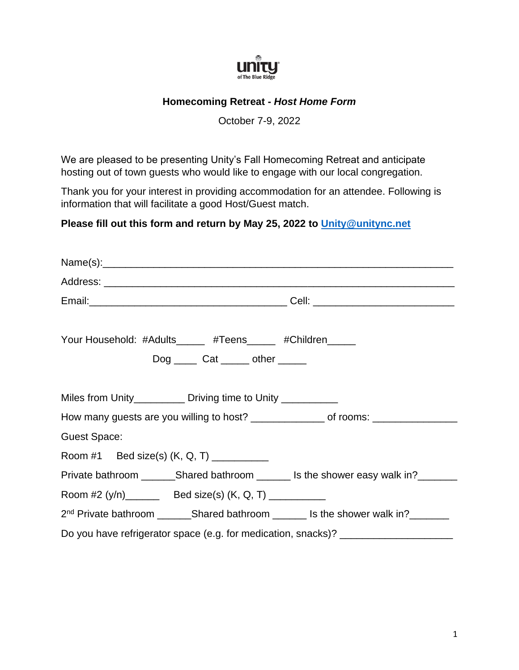

## **Homecoming Retreat -** *Host Home Form*

October 7-9, 2022

We are pleased to be presenting Unity's Fall Homecoming Retreat and anticipate hosting out of town guests who would like to engage with our local congregation.

Thank you for your interest in providing accommodation for an attendee. Following is information that will facilitate a good Host/Guest match.

## **Please fill out this form and return by May 25, 2022 to [Unity@unitync.net](mailto:Unity@unitync.net)**

| Your Household: #Adults_____ #Teens_____ #Children____<br>$Dog$ ______ Cat ______ other ______ |  |
|------------------------------------------------------------------------------------------------|--|
| Miles from Unity____________ Driving time to Unity ___________                                 |  |
| How many guests are you willing to host? ______________ of rooms: ______________               |  |
| <b>Guest Space:</b>                                                                            |  |
| Room #1 Bed size(s) (K, Q, T) _________                                                        |  |
| Private bathroom __________Shared bathroom _________ Is the shower easy walk in?               |  |
| Room #2 (y/n)_________ Bed size(s) (K, Q, T) ___________                                       |  |
| 2 <sup>nd</sup> Private bathroom __________Shared bathroom _________ Is the shower walk in?    |  |
| Do you have refrigerator space (e.g. for medication, snacks)? ___________________              |  |